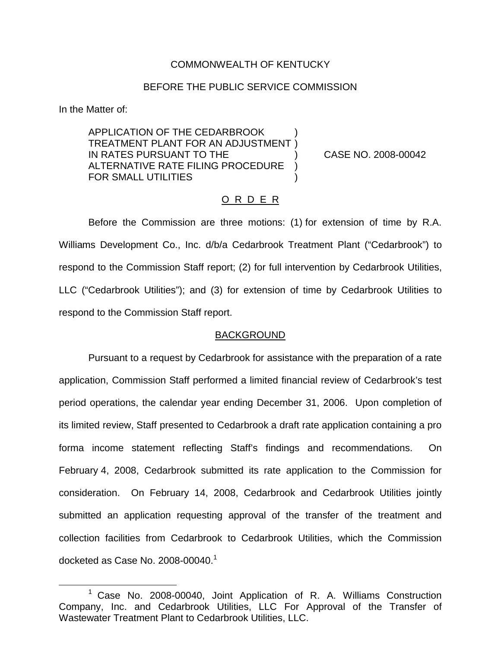# COMMONWEALTH OF KENTUCKY

## BEFORE THE PUBLIC SERVICE COMMISSION

In the Matter of:

APPLICATION OF THE CEDARBROOK ) TREATMENT PLANT FOR AN ADJUSTMENT ) IN RATES PURSUANT TO THE ) CASE NO. 2008-00042 ALTERNATIVE RATE FILING PROCEDURE ) FOR SMALL UTILITIES (1999)

## O R D E R

Before the Commission are three motions: (1) for extension of time by R.A. Williams Development Co., Inc. d/b/a Cedarbrook Treatment Plant ("Cedarbrook") to respond to the Commission Staff report; (2) for full intervention by Cedarbrook Utilities, LLC ("Cedarbrook Utilities"); and (3) for extension of time by Cedarbrook Utilities to respond to the Commission Staff report.

#### BACKGROUND

Pursuant to a request by Cedarbrook for assistance with the preparation of a rate application, Commission Staff performed a limited financial review of Cedarbrook's test period operations, the calendar year ending December 31, 2006. Upon completion of its limited review, Staff presented to Cedarbrook a draft rate application containing a pro forma income statement reflecting Staff's findings and recommendations. On February 4, 2008, Cedarbrook submitted its rate application to the Commission for consideration. On February 14, 2008, Cedarbrook and Cedarbrook Utilities jointly submitted an application requesting approval of the transfer of the treatment and collection facilities from Cedarbrook to Cedarbrook Utilities, which the Commission docketed as Case No. 2008-00040. $1$ 

<sup>1</sup> Case No. 2008-00040, Joint Application of R. A. Williams Construction Company, Inc. and Cedarbrook Utilities, LLC For Approval of the Transfer of Wastewater Treatment Plant to Cedarbrook Utilities, LLC.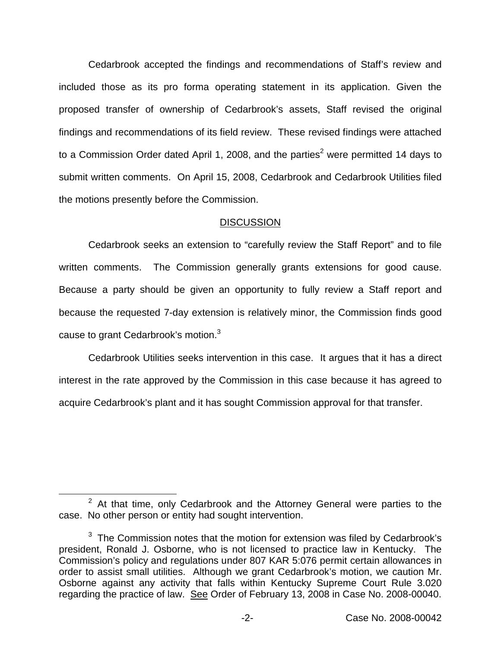Cedarbrook accepted the findings and recommendations of Staff's review and included those as its pro forma operating statement in its application. Given the proposed transfer of ownership of Cedarbrook's assets, Staff revised the original findings and recommendations of its field review. These revised findings were attached to a Commission Order dated April 1, 2008, and the parties<sup>2</sup> were permitted 14 days to submit written comments. On April 15, 2008, Cedarbrook and Cedarbrook Utilities filed the motions presently before the Commission.

## **DISCUSSION**

Cedarbrook seeks an extension to "carefully review the Staff Report" and to file written comments. The Commission generally grants extensions for good cause. Because a party should be given an opportunity to fully review a Staff report and because the requested 7-day extension is relatively minor, the Commission finds good cause to grant Cedarbrook's motion.<sup>3</sup>

Cedarbrook Utilities seeks intervention in this case. It argues that it has a direct interest in the rate approved by the Commission in this case because it has agreed to acquire Cedarbrook's plant and it has sought Commission approval for that transfer.

 $2$  At that time, only Cedarbrook and the Attorney General were parties to the case. No other person or entity had sought intervention.

 $3$  The Commission notes that the motion for extension was filed by Cedarbrook's president, Ronald J. Osborne, who is not licensed to practice law in Kentucky. The Commission's policy and regulations under 807 KAR 5:076 permit certain allowances in order to assist small utilities. Although we grant Cedarbrook's motion, we caution Mr. Osborne against any activity that falls within Kentucky Supreme Court Rule 3.020 regarding the practice of law. See Order of February 13, 2008 in Case No. 2008-00040.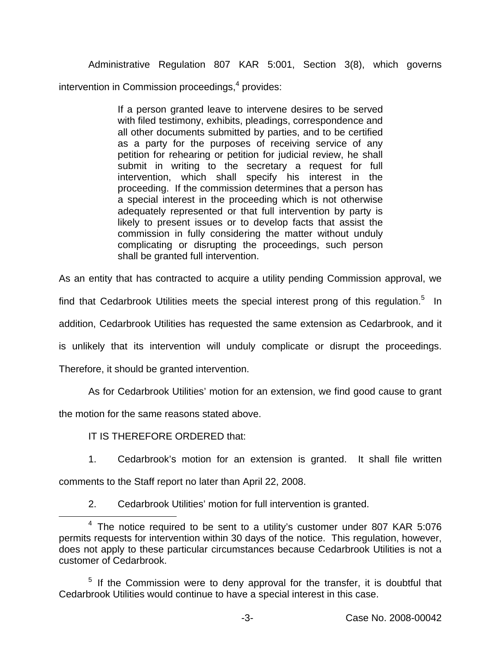Administrative Regulation 807 KAR 5:001, Section 3(8), which governs intervention in Commission proceedings, $4$  provides:

> If a person granted leave to intervene desires to be served with filed testimony, exhibits, pleadings, correspondence and all other documents submitted by parties, and to be certified as a party for the purposes of receiving service of any petition for rehearing or petition for judicial review, he shall submit in writing to the secretary a request for full intervention, which shall specify his interest in the proceeding. If the commission determines that a person has a special interest in the proceeding which is not otherwise adequately represented or that full intervention by party is likely to present issues or to develop facts that assist the commission in fully considering the matter without unduly complicating or disrupting the proceedings, such person shall be granted full intervention.

As an entity that has contracted to acquire a utility pending Commission approval, we

find that Cedarbrook Utilities meets the special interest prong of this regulation.<sup>5</sup> In

addition, Cedarbrook Utilities has requested the same extension as Cedarbrook, and it

is unlikely that its intervention will unduly complicate or disrupt the proceedings.

Therefore, it should be granted intervention.

As for Cedarbrook Utilities' motion for an extension, we find good cause to grant

the motion for the same reasons stated above.

# IT IS THEREFORE ORDERED that:

1. Cedarbrook's motion for an extension is granted. It shall file written

comments to the Staff report no later than April 22, 2008.

2. Cedarbrook Utilities' motion for full intervention is granted.

 $4$  The notice required to be sent to a utility's customer under 807 KAR 5:076 permits requests for intervention within 30 days of the notice. This regulation, however, does not apply to these particular circumstances because Cedarbrook Utilities is not a customer of Cedarbrook.

 $5$  If the Commission were to deny approval for the transfer, it is doubtful that Cedarbrook Utilities would continue to have a special interest in this case.